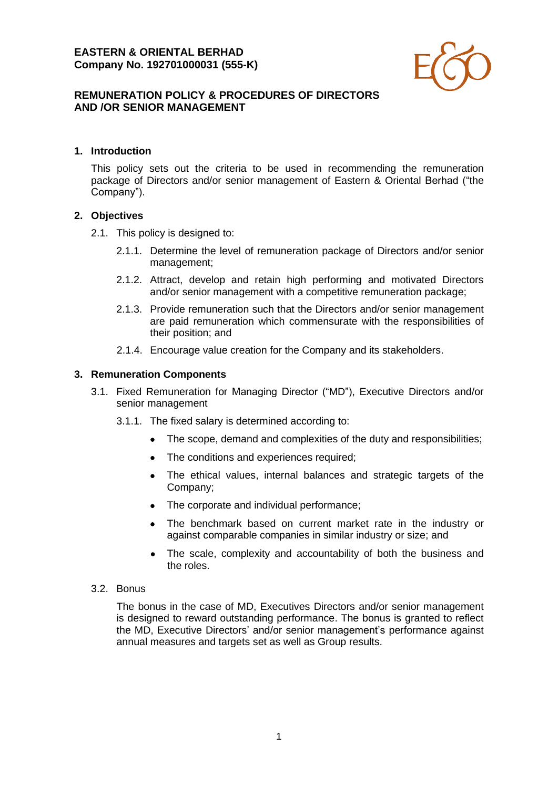

# **REMUNERATION POLICY & PROCEDURES OF DIRECTORS AND /OR SENIOR MANAGEMENT**

## **1. Introduction**

This policy sets out the criteria to be used in recommending the remuneration package of Directors and/or senior management of Eastern & Oriental Berhad ("the Company").

## **2. Objectives**

- 2.1. This policy is designed to:
	- 2.1.1. Determine the level of remuneration package of Directors and/or senior management;
	- 2.1.2. Attract, develop and retain high performing and motivated Directors and/or senior management with a competitive remuneration package;
	- 2.1.3. Provide remuneration such that the Directors and/or senior management are paid remuneration which commensurate with the responsibilities of their position; and
	- 2.1.4. Encourage value creation for the Company and its stakeholders.

#### **3. Remuneration Components**

- 3.1. Fixed Remuneration for Managing Director ("MD"), Executive Directors and/or senior management
	- 3.1.1. The fixed salary is determined according to:
		- The scope, demand and complexities of the duty and responsibilities;
		- The conditions and experiences required;
		- The ethical values, internal balances and strategic targets of the Company;
		- The corporate and individual performance;
		- The benchmark based on current market rate in the industry or against comparable companies in similar industry or size; and
		- The scale, complexity and accountability of both the business and the roles.

#### 3.2. Bonus

The bonus in the case of MD, Executives Directors and/or senior management is designed to reward outstanding performance. The bonus is granted to reflect the MD, Executive Directors' and/or senior management's performance against annual measures and targets set as well as Group results.